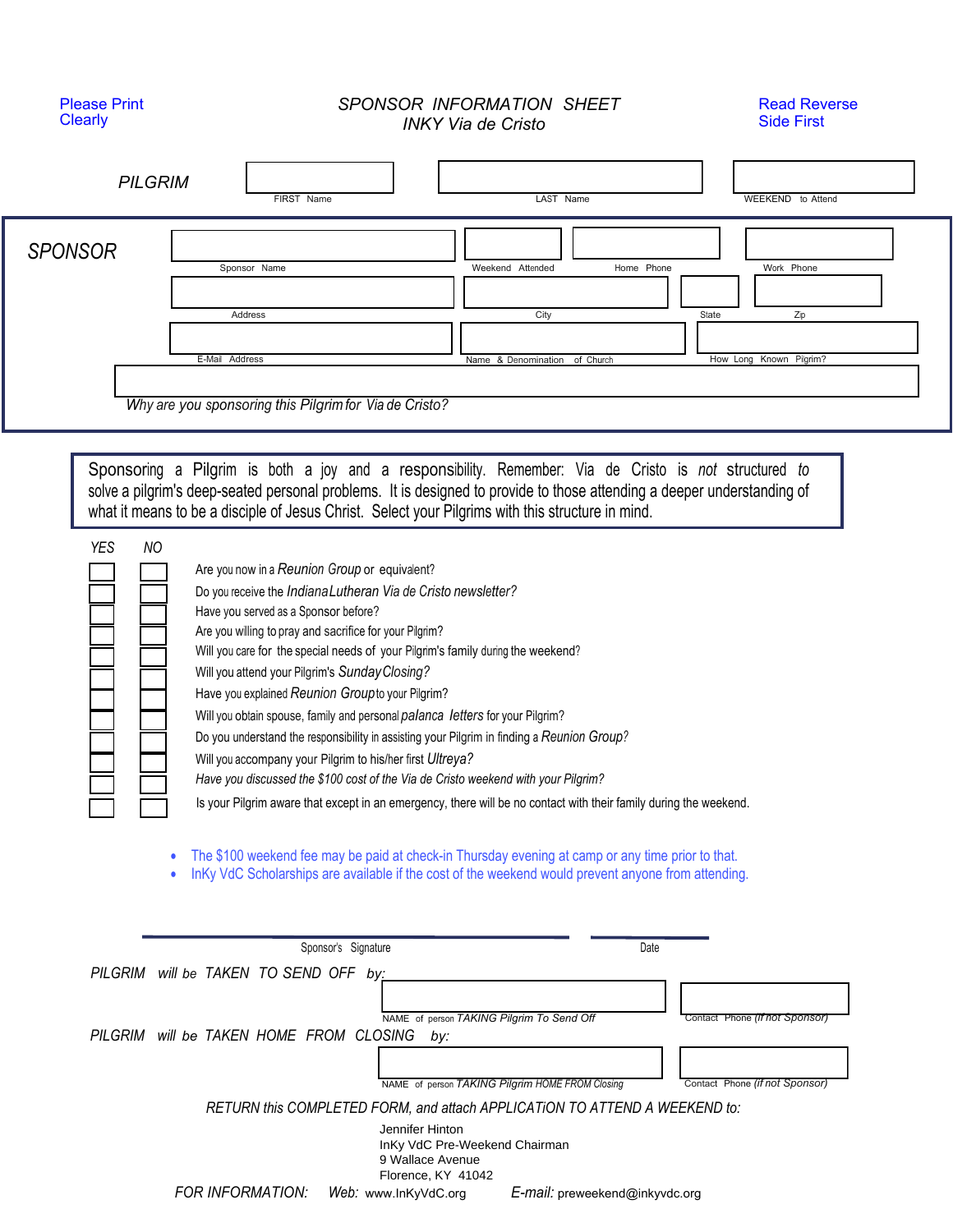## Please Print **Clearly**

## *SPONSOR INFORMATION SHEET INKY Via de Cristo*

Read Reverse Side First

| <b>PILGRIM</b>          | FIRST Name                                                                                                                                                                                                                                                                                                                                                                                                                                                                                                                                                                                                                                                                                                                                                                                                                                                                                                                                                                                                                                                                                                                                                                                                                                                                                                                                                                                                              | LAST Name                                                                                                                                                                          | WEEKEND to Attend                                                |
|-------------------------|-------------------------------------------------------------------------------------------------------------------------------------------------------------------------------------------------------------------------------------------------------------------------------------------------------------------------------------------------------------------------------------------------------------------------------------------------------------------------------------------------------------------------------------------------------------------------------------------------------------------------------------------------------------------------------------------------------------------------------------------------------------------------------------------------------------------------------------------------------------------------------------------------------------------------------------------------------------------------------------------------------------------------------------------------------------------------------------------------------------------------------------------------------------------------------------------------------------------------------------------------------------------------------------------------------------------------------------------------------------------------------------------------------------------------|------------------------------------------------------------------------------------------------------------------------------------------------------------------------------------|------------------------------------------------------------------|
| <b>SPONSOR</b>          | Sponsor Name<br>Address<br>E-Mail Address<br>Why are you sponsoring this Pilgrim for Via de Cristo?                                                                                                                                                                                                                                                                                                                                                                                                                                                                                                                                                                                                                                                                                                                                                                                                                                                                                                                                                                                                                                                                                                                                                                                                                                                                                                                     | Weekend Attended<br>Home Phone<br>City<br>Name & Denomination of Church                                                                                                            | Work Phone<br>State<br>Zip<br>Known Pilgrim?<br>How Long         |
| <b>NO</b><br><b>YES</b> | Sponsoring a Pilgrim is both a joy and a responsibility. Remember: Via de Cristo is not structured to<br>solve a pilgrim's deep-seated personal problems. It is designed to provide to those attending a deeper understanding of<br>what it means to be a disciple of Jesus Christ. Select your Pilgrims with this structure in mind.<br>Are you now in a Reunion Group or equivalent?<br>Do you receive the Indiana Lutheran Via de Cristo newsletter?<br>Have you served as a Sponsor before?<br>Are you willing to pray and sacrifice for your Pilgrim?<br>Will you care for the special needs of your Pilgrim's family during the weekend?<br>Will you attend your Pilgrim's Sunday Closing?<br>Have you explained Reunion Group to your Pilgrim?<br>Will you obtain spouse, family and personal palanca letters for your Pilgrim?<br>Do you understand the responsibility in assisting your Pilgrim in finding a Reunion Group?<br>Will you accompany your Pilgrim to his/her first Ultreya?<br>Have you discussed the \$100 cost of the Via de Cristo weekend with your Pilgrim?<br>Is your Pilgrim aware that except in an emergency, there will be no contact with their family during the weekend.<br>The \$100 weekend fee may be paid at check-in Thursday evening at camp or any time prior to that.<br>InKy VdC Scholarships are available if the cost of the weekend would prevent anyone from attending. |                                                                                                                                                                                    |                                                                  |
|                         | Sponsor's Signature<br>PILGRIM will be TAKEN TO SEND OFF by:<br>PILGRIM will be TAKEN HOME FROM CLOSING<br>by:<br>Jennifer Hinton                                                                                                                                                                                                                                                                                                                                                                                                                                                                                                                                                                                                                                                                                                                                                                                                                                                                                                                                                                                                                                                                                                                                                                                                                                                                                       | Date<br>NAME of person TAKING Pilgrim To Send Off<br>NAME of person TAKING Pilgrim HOME FROM Closing<br>RETURN this COMPLETED FORM, and attach APPLICATION TO ATTEND A WEEKEND to: | Contact Phone (if not Sponsor)<br>Contact Phone (if not Sponsor) |

*FOR INFORMATION: Web: www.lnKyVdC.org* Florence, KY 41042 E-mail: preweekend@inkyvdc.org

9 Wallace Avenue